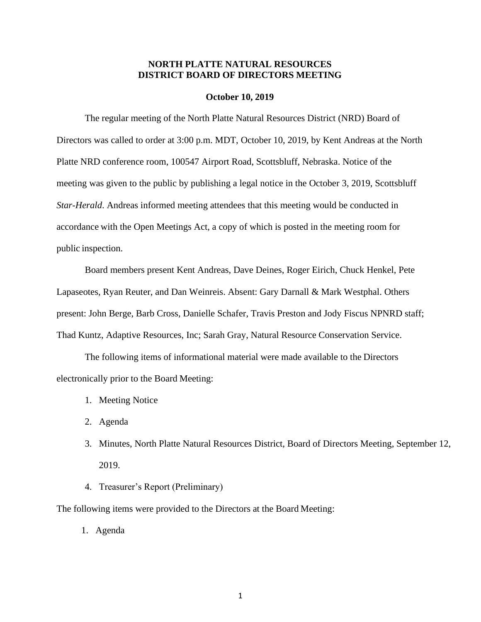### **NORTH PLATTE NATURAL RESOURCES DISTRICT BOARD OF DIRECTORS MEETING**

#### **October 10, 2019**

The regular meeting of the North Platte Natural Resources District (NRD) Board of Directors was called to order at 3:00 p.m. MDT, October 10, 2019, by Kent Andreas at the North Platte NRD conference room, 100547 Airport Road, Scottsbluff, Nebraska. Notice of the meeting was given to the public by publishing a legal notice in the October 3, 2019, Scottsbluff *Star-Herald*. Andreas informed meeting attendees that this meeting would be conducted in accordance with the Open Meetings Act, a copy of which is posted in the meeting room for public inspection.

Board members present Kent Andreas, Dave Deines, Roger Eirich, Chuck Henkel, Pete Lapaseotes, Ryan Reuter, and Dan Weinreis. Absent: Gary Darnall & Mark Westphal. Others present: John Berge, Barb Cross, Danielle Schafer, Travis Preston and Jody Fiscus NPNRD staff; Thad Kuntz, Adaptive Resources, Inc; Sarah Gray, Natural Resource Conservation Service.

The following items of informational material were made available to the Directors electronically prior to the Board Meeting:

- 1. Meeting Notice
- 2. Agenda
- 3. Minutes, North Platte Natural Resources District, Board of Directors Meeting, September 12, 2019.
- 4. Treasurer's Report (Preliminary)

The following items were provided to the Directors at the Board Meeting:

1. Agenda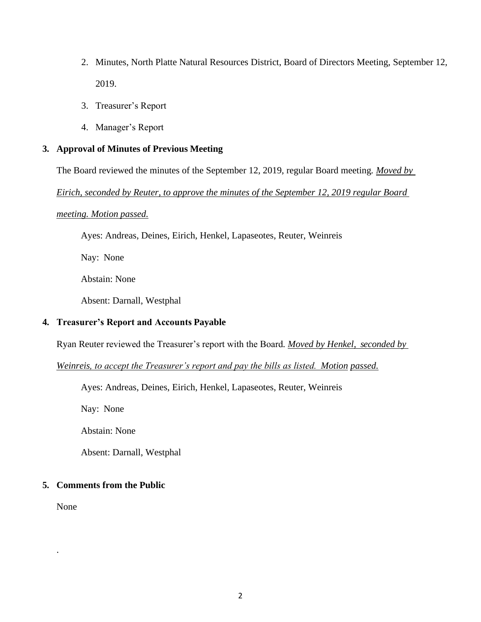- 2. Minutes, North Platte Natural Resources District, Board of Directors Meeting, September 12, 2019.
- 3. Treasurer's Report
- 4. Manager's Report

# **3. Approval of Minutes of Previous Meeting**

The Board reviewed the minutes of the September 12, 2019, regular Board meeting*. Moved by*

*Eirich, seconded by Reuter, to approve the minutes of the September 12, 2019 regular Board* 

### *meeting. Motion passed.*

Ayes: Andreas, Deines, Eirich, Henkel, Lapaseotes, Reuter, Weinreis

Nay: None

Abstain: None

Absent: Darnall, Westphal

## **4. Treasurer's Report and Accounts Payable**

Ryan Reuter reviewed the Treasurer's report with the Board*. Moved by Henkel, seconded by*

*Weinreis, to accept the Treasurer's report and pay the bills as listed. Motion passed.*

Ayes: Andreas, Deines, Eirich, Henkel, Lapaseotes, Reuter, Weinreis

Nay: None

Abstain: None

Absent: Darnall, Westphal

# **5. Comments from the Public**

None

.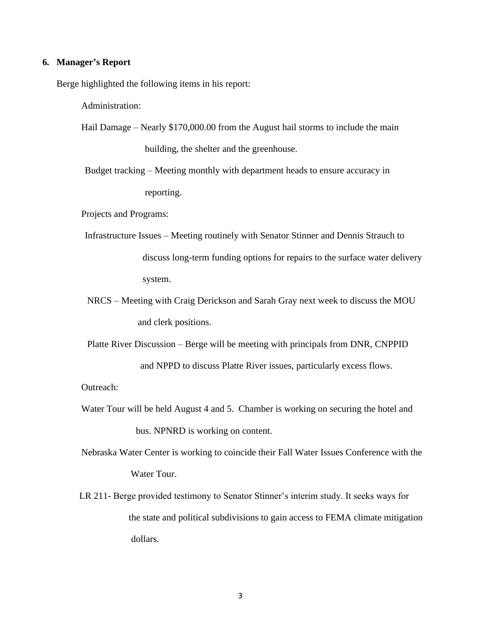#### **6. Manager's Report**

Berge highlighted the following items in his report:

Administration:

Hail Damage – Nearly \$170,000.00 from the August hail storms to include the main building, the shelter and the greenhouse.

Budget tracking – Meeting monthly with department heads to ensure accuracy in reporting.

Projects and Programs:

- Infrastructure Issues Meeting routinely with Senator Stinner and Dennis Strauch to discuss long-term funding options for repairs to the surface water delivery system.
- NRCS Meeting with Craig Derickson and Sarah Gray next week to discuss the MOU and clerk positions.
- Platte River Discussion Berge will be meeting with principals from DNR, CNPPID and NPPD to discuss Platte River issues, particularly excess flows.

Outreach:

Water Tour will be held August 4 and 5. Chamber is working on securing the hotel and bus. NPNRD is working on content.

Nebraska Water Center is working to coincide their Fall Water Issues Conference with the Water Tour.

 LR 211- Berge provided testimony to Senator Stinner's interim study. It seeks ways for the state and political subdivisions to gain access to FEMA climate mitigation dollars.